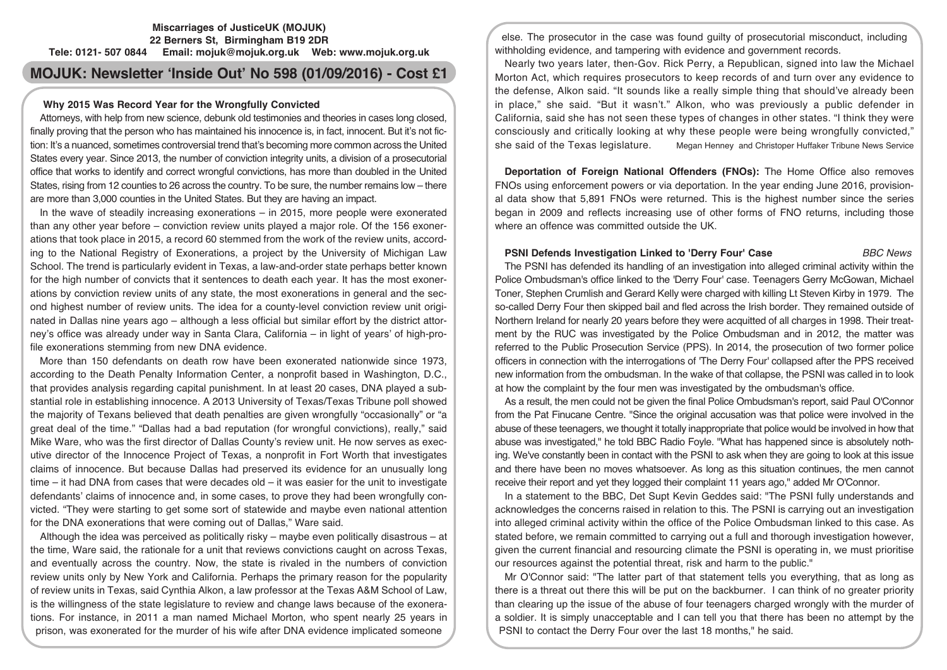## **Miscarriages of JusticeUK (MOJUK) 22 Berners St, Birmingham B19 2DR Tele: 0121- 507 0844 Email: mojuk@mojuk.org.uk Web: www.mojuk.org.uk**

# **MOJUK: Newsletter 'Inside Out' No 598 (01/09/2016) - Cost £1**

#### **Why 2015 Was Record Year for the Wrongfully Convicted**

Attorneys, with help from new science, debunk old testimonies and theories in cases long closed, finally proving that the person who has maintained his innocence is, in fact, innocent. But it's not fiction: It's a nuanced, sometimes controversial trend that's becoming more common across the United States every year. Since 2013, the number of conviction integrity units, a division of a prosecutorial office that works to identify and correct wrongful convictions, has more than doubled in the United States, rising from 12 counties to 26 across the country. To be sure, the number remains low – there are more than 3,000 counties in the United States. But they are having an impact.

In the wave of steadily increasing exonerations  $-$  in 2015, more people were exonerated than any other year before – conviction review units played a major role. Of the 156 exonerations that took place in 2015, a record 60 stemmed from the work of the review units, according to the National Registry of Exonerations, a project by the University of Michigan Law School. The trend is particularly evident in Texas, a law-and-order state perhaps better known for the high number of convicts that it sentences to death each year. It has the most exonerations by conviction review units of any state, the most exonerations in general and the second highest number of review units. The idea for a county-level conviction review unit originated in Dallas nine years ago – although a less official but similar effort by the district attorney's office was already under way in Santa Clara, California – in light of years' of high-profile exonerations stemming from new DNA evidence.

More than 150 defendants on death row have been exonerated nationwide since 1973, according to the Death Penalty Information Center, a nonprofit based in Washington, D.C., that provides analysis regarding capital punishment. In at least 20 cases, DNA played a substantial role in establishing innocence. A 2013 University of Texas/Texas Tribune poll showed the majority of Texans believed that death penalties are given wrongfully "occasionally" or "a great deal of the time." "Dallas had a bad reputation (for wrongful convictions), really," said Mike Ware, who was the first director of Dallas County's review unit. He now serves as executive director of the Innocence Project of Texas, a nonprofit in Fort Worth that investigates claims of innocence. But because Dallas had preserved its evidence for an unusually long time – it had DNA from cases that were decades old – it was easier for the unit to investigate defendants' claims of innocence and, in some cases, to prove they had been wrongfully convicted. "They were starting to get some sort of statewide and maybe even national attention for the DNA exonerations that were coming out of Dallas," Ware said.

Although the idea was perceived as politically risky – maybe even politically disastrous – at the time, Ware said, the rationale for a unit that reviews convictions caught on across Texas, and eventually across the country. Now, the state is rivaled in the numbers of conviction review units only by New York and California. Perhaps the primary reason for the popularity of review units in Texas, said Cynthia Alkon, a law professor at the Texas A&M School of Law, is the willingness of the state legislature to review and change laws because of the exonerations. For instance, in 2011 a man named Michael Morton, who spent nearly 25 years in prison, was exonerated for the murder of his wife after DNA evidence implicated someone

else. The prosecutor in the case was found guilty of prosecutorial misconduct, including withholding evidence, and tampering with evidence and government records.

Nearly two years later, then-Gov. Rick Perry, a Republican, signed into law the Michael Morton Act, which requires prosecutors to keep records of and turn over any evidence to the defense, Alkon said. "It sounds like a really simple thing that should've already been in place," she said. "But it wasn't." Alkon, who was previously a public defender in California, said she has not seen these types of changes in other states. "I think they were consciously and critically looking at why these people were being wrongfully convicted," she said of the Texas legislature. Megan Henney and Christoper Huffaker Tribune News Service

**Deportation of Foreign National Offenders (FNOs):** The Home Office also removes FNOs using enforcement powers or via deportation. In the year ending June 2016, provisional data show that 5,891 FNOs were returned. This is the highest number since the series began in 2009 and reflects increasing use of other forms of FNO returns, including those where an offence was committed outside the UK.

#### **PSNI Defends Investigation Linked to 'Derry Four' Case** *BBC News*

The PSNI has defended its handling of an investigation into alleged criminal activity within the Police Ombudsman's office linked to the 'Derry Four' case. Teenagers Gerry McGowan, Michael Toner, Stephen Crumlish and Gerard Kelly were charged with killing Lt Steven Kirby in 1979. The so-called Derry Four then skipped bail and fled across the Irish border. They remained outside of Northern Ireland for nearly 20 years before they were acquitted of all charges in 1998. Their treatment by the RUC was investigated by the Police Ombudsman and in 2012, the matter was referred to the Public Prosecution Service (PPS). In 2014, the prosecution of two former police officers in connection with the interrogations of 'The Derry Four' collapsed after the PPS received new information from the ombudsman. In the wake of that collapse, the PSNI was called in to look at how the complaint by the four men was investigated by the ombudsman's office.

As a result, the men could not be given the final Police Ombudsman's report, said Paul O'Connor from the Pat Finucane Centre. "Since the original accusation was that police were involved in the abuse of these teenagers, we thought it totally inappropriate that police would be involved in how that abuse was investigated," he told BBC Radio Foyle. "What has happened since is absolutely nothing. We've constantly been in contact with the PSNI to ask when they are going to look at this issue and there have been no moves whatsoever. As long as this situation continues, the men cannot receive their report and yet they logged their complaint 11 years ago," added Mr O'Connor.

In a statement to the BBC, Det Supt Kevin Geddes said: "The PSNI fully understands and acknowledges the concerns raised in relation to this. The PSNI is carrying out an investigation into alleged criminal activity within the office of the Police Ombudsman linked to this case. As stated before, we remain committed to carrying out a full and thorough investigation however, given the current financial and resourcing climate the PSNI is operating in, we must prioritise our resources against the potential threat, risk and harm to the public."

Mr O'Connor said: "The latter part of that statement tells you everything, that as long as there is a threat out there this will be put on the backburner. I can think of no greater priority than clearing up the issue of the abuse of four teenagers charged wrongly with the murder of a soldier. It is simply unacceptable and I can tell you that there has been no attempt by the PSNI to contact the Derry Four over the last 18 months," he said.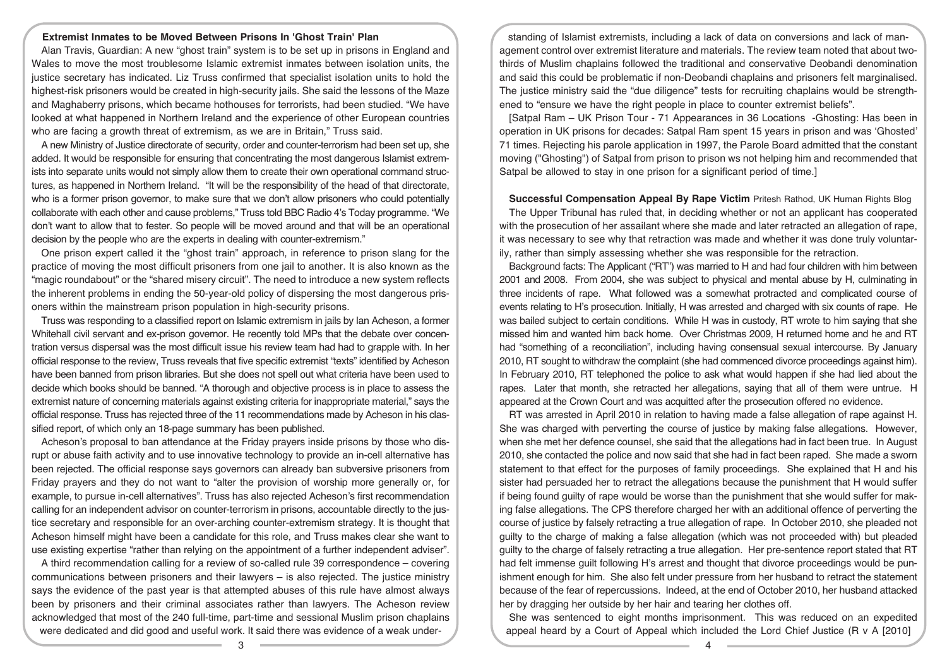#### **Extremist Inmates to be Moved Between Prisons In 'Ghost Train' Plan**

Alan Travis, Guardian: A new "ghost train" system is to be set up in prisons in England and Wales to move the most troublesome Islamic extremist inmates between isolation units, the justice secretary has indicated. Liz Truss confirmed that specialist isolation units to hold the highest-risk prisoners would be created in high-security jails. She said the lessons of the Maze and Maghaberry prisons, which became hothouses for terrorists, had been studied. "We have looked at what happened in Northern Ireland and the experience of other European countries who are facing a growth threat of extremism, as we are in Britain," Truss said.

A new Ministry of Justice directorate of security, order and counter-terrorism had been set up, she added. It would be responsible for ensuring that concentrating the most dangerous Islamist extremists into separate units would not simply allow them to create their own operational command structures, as happened in Northern Ireland. "It will be the responsibility of the head of that directorate, who is a former prison governor, to make sure that we don't allow prisoners who could potentially collaborate with each other and cause problems," Truss told BBC Radio 4's Today programme. "We don't want to allow that to fester. So people will be moved around and that will be an operational decision by the people who are the experts in dealing with counter-extremism."

One prison expert called it the "ghost train" approach, in reference to prison slang for the practice of moving the most difficult prisoners from one jail to another. It is also known as the "magic roundabout" or the "shared misery circuit". The need to introduce a new system reflects the inherent problems in ending the 50-year-old policy of dispersing the most dangerous prisoners within the mainstream prison population in high-security prisons.

Truss was responding to a classified report on Islamic extremism in jails by Ian Acheson, a former Whitehall civil servant and ex-prison governor. He recently told MPs that the debate over concentration versus dispersal was the most difficult issue his review team had had to grapple with. In her official response to the review, Truss reveals that five specific extremist "texts" identified by Acheson have been banned from prison libraries. But she does not spell out what criteria have been used to decide which books should be banned. "A thorough and objective process is in place to assess the extremist nature of concerning materials against existing criteria for inappropriate material," says the official response. Truss has rejected three of the 11 recommendations made by Acheson in his classified report, of which only an 18-page summary has been published.

Acheson's proposal to ban attendance at the Friday prayers inside prisons by those who disrupt or abuse faith activity and to use innovative technology to provide an in-cell alternative has been rejected. The official response says governors can already ban subversive prisoners from Friday prayers and they do not want to "alter the provision of worship more generally or, for example, to pursue in-cell alternatives". Truss has also rejected Acheson's first recommendation calling for an independent advisor on counter-terrorism in prisons, accountable directly to the justice secretary and responsible for an over-arching counter-extremism strategy. It is thought that Acheson himself might have been a candidate for this role, and Truss makes clear she want to use existing expertise "rather than relying on the appointment of a further independent adviser".

A third recommendation calling for a review of so-called rule 39 correspondence – covering communications between prisoners and their lawyers – is also rejected. The justice ministry says the evidence of the past year is that attempted abuses of this rule have almost always been by prisoners and their criminal associates rather than lawyers. The Acheson review acknowledged that most of the 240 full-time, part-time and sessional Muslim prison chaplains were dedicated and did good and useful work. It said there was evidence of a weak under-

standing of Islamist extremists, including a lack of data on conversions and lack of management control over extremist literature and materials. The review team noted that about twothirds of Muslim chaplains followed the traditional and conservative Deobandi denomination and said this could be problematic if non-Deobandi chaplains and prisoners felt marginalised. The justice ministry said the "due diligence" tests for recruiting chaplains would be strengthened to "ensure we have the right people in place to counter extremist beliefs".

[Satpal Ram – UK Prison Tour - 71 Appearances in 36 Locations -Ghosting: Has been in operation in UK prisons for decades: Satpal Ram spent 15 years in prison and was 'Ghosted' 71 times. Rejecting his parole application in 1997, the Parole Board admitted that the constant moving ("Ghosting") of Satpal from prison to prison ws not helping him and recommended that Satpal be allowed to stay in one prison for a significant period of time.]

**Successful Compensation Appeal By Rape Victim** Pritesh Rathod, UK Human Rights Blog The Upper Tribunal has ruled that, in deciding whether or not an applicant has cooperated with the prosecution of her assailant where she made and later retracted an allegation of rape, it was necessary to see why that retraction was made and whether it was done truly voluntarily, rather than simply assessing whether she was responsible for the retraction.

Background facts: The Applicant ("RT") was married to H and had four children with him between 2001 and 2008. From 2004, she was subject to physical and mental abuse by H, culminating in three incidents of rape. What followed was a somewhat protracted and complicated course of events relating to H's prosecution. Initially, H was arrested and charged with six counts of rape. He was bailed subject to certain conditions. While H was in custody, RT wrote to him saying that she missed him and wanted him back home. Over Christmas 2009, H returned home and he and RT had "something of a reconciliation", including having consensual sexual intercourse. By January 2010, RT sought to withdraw the complaint (she had commenced divorce proceedings against him). In February 2010, RT telephoned the police to ask what would happen if she had lied about the rapes. Later that month, she retracted her allegations, saying that all of them were untrue. H appeared at the Crown Court and was acquitted after the prosecution offered no evidence.

RT was arrested in April 2010 in relation to having made a false allegation of rape against H. She was charged with perverting the course of justice by making false allegations. However, when she met her defence counsel, she said that the allegations had in fact been true. In August 2010, she contacted the police and now said that she had in fact been raped. She made a sworn statement to that effect for the purposes of family proceedings. She explained that H and his sister had persuaded her to retract the allegations because the punishment that H would suffer if being found guilty of rape would be worse than the punishment that she would suffer for making false allegations. The CPS therefore charged her with an additional offence of perverting the course of justice by falsely retracting a true allegation of rape. In October 2010, she pleaded not guilty to the charge of making a false allegation (which was not proceeded with) but pleaded guilty to the charge of falsely retracting a true allegation. Her pre-sentence report stated that RT had felt immense guilt following H's arrest and thought that divorce proceedings would be punishment enough for him. She also felt under pressure from her husband to retract the statement because of the fear of repercussions. Indeed, at the end of October 2010, her husband attacked her by dragging her outside by her hair and tearing her clothes off.

She was sentenced to eight months imprisonment. This was reduced on an expedited appeal heard by a Court of Appeal which included the Lord Chief Justice (R v A [2010]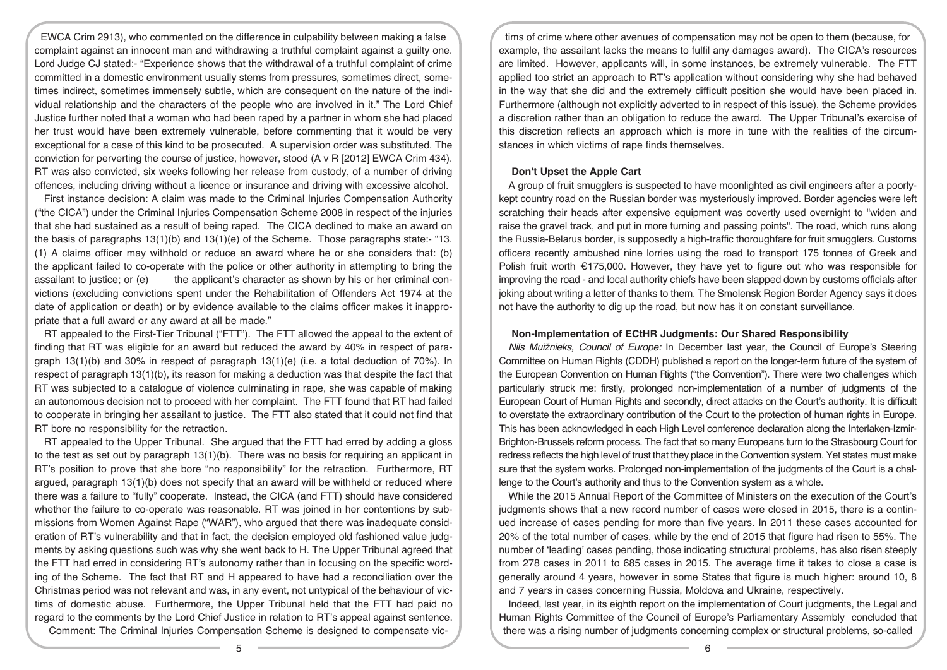EWCA Crim 2913), who commented on the difference in culpability between making a false complaint against an innocent man and withdrawing a truthful complaint against a guilty one. Lord Judge CJ stated:- "Experience shows that the withdrawal of a truthful complaint of crime committed in a domestic environment usually stems from pressures, sometimes direct, sometimes indirect, sometimes immensely subtle, which are consequent on the nature of the individual relationship and the characters of the people who are involved in it." The Lord Chief Justice further noted that a woman who had been raped by a partner in whom she had placed her trust would have been extremely vulnerable, before commenting that it would be very exceptional for a case of this kind to be prosecuted. A supervision order was substituted. The conviction for perverting the course of justice, however, stood (A v R [2012] EWCA Crim 434). RT was also convicted, six weeks following her release from custody, of a number of driving offences, including driving without a licence or insurance and driving with excessive alcohol.

First instance decision: A claim was made to the Criminal Injuries Compensation Authority ("the CICA") under the Criminal Injuries Compensation Scheme 2008 in respect of the injuries that she had sustained as a result of being raped. The CICA declined to make an award on the basis of paragraphs  $13(1)(b)$  and  $13(1)(e)$  of the Scheme. Those paragraphs state:- "13. (1) A claims officer may withhold or reduce an award where he or she considers that: (b) the applicant failed to co-operate with the police or other authority in attempting to bring the assailant to justice; or (e) the applicant's character as shown by his or her criminal convictions (excluding convictions spent under the Rehabilitation of Offenders Act 1974 at the date of application or death) or by evidence available to the claims officer makes it inappropriate that a full award or any award at all be made."

RT appealed to the First-Tier Tribunal ("FTT"). The FTT allowed the appeal to the extent of finding that RT was eligible for an award but reduced the award by 40% in respect of paragraph 13(1)(b) and 30% in respect of paragraph 13(1)(e) (i.e. a total deduction of 70%). In respect of paragraph 13(1)(b), its reason for making a deduction was that despite the fact that RT was subjected to a catalogue of violence culminating in rape, she was capable of making an autonomous decision not to proceed with her complaint. The FTT found that RT had failed to cooperate in bringing her assailant to justice. The FTT also stated that it could not find that RT bore no responsibility for the retraction.

RT appealed to the Upper Tribunal. She argued that the FTT had erred by adding a gloss to the test as set out by paragraph 13(1)(b). There was no basis for requiring an applicant in RT's position to prove that she bore "no responsibility" for the retraction. Furthermore, RT argued, paragraph 13(1)(b) does not specify that an award will be withheld or reduced where there was a failure to "fully" cooperate. Instead, the CICA (and FTT) should have considered whether the failure to co-operate was reasonable. RT was joined in her contentions by submissions from Women Against Rape ("WAR"), who argued that there was inadequate consideration of RT's vulnerability and that in fact, the decision employed old fashioned value judgments by asking questions such was why she went back to H. The Upper Tribunal agreed that the FTT had erred in considering RT's autonomy rather than in focusing on the specific wording of the Scheme. The fact that RT and H appeared to have had a reconciliation over the Christmas period was not relevant and was, in any event, not untypical of the behaviour of victims of domestic abuse. Furthermore, the Upper Tribunal held that the FTT had paid no regard to the comments by the Lord Chief Justice in relation to RT's appeal against sentence.

Comment: The Criminal Injuries Compensation Scheme is designed to compensate vic-

tims of crime where other avenues of compensation may not be open to them (because, for example, the assailant lacks the means to fulfil any damages award). The CICA's resources are limited. However, applicants will, in some instances, be extremely vulnerable. The FTT applied too strict an approach to RT's application without considering why she had behaved in the way that she did and the extremely difficult position she would have been placed in. Furthermore (although not explicitly adverted to in respect of this issue), the Scheme provides a discretion rather than an obligation to reduce the award. The Upper Tribunal's exercise of this discretion reflects an approach which is more in tune with the realities of the circumstances in which victims of rape finds themselves.

#### **Don't Upset the Apple Cart**

A group of fruit smugglers is suspected to have moonlighted as civil engineers after a poorlykept country road on the Russian border was mysteriously improved. Border agencies were left scratching their heads after expensive equipment was covertly used overnight to "widen and raise the gravel track, and put in more turning and passing points". The road, which runs along the Russia-Belarus border, is supposedly a high-traffic thoroughfare for fruit smugglers. Customs officers recently ambushed nine lorries using the road to transport 175 tonnes of Greek and Polish fruit worth €175,000. However, they have yet to figure out who was responsible for improving the road - and local authority chiefs have been slapped down by customs officials after joking about writing a letter of thanks to them. The Smolensk Region Border Agency says it does not have the authority to dig up the road, but now has it on constant surveillance.

#### **Non-Implementation of ECtHR Judgments: Our Shared Responsibility**

*Nils Muižnieks, Council of Europe:* In December last year, the Council of Europe's Steering Committee on Human Rights (CDDH) published a report on the longer-term future of the system of the European Convention on Human Rights ("the Convention"). There were two challenges which particularly struck me: firstly, prolonged non-implementation of a number of judgments of the European Court of Human Rights and secondly, direct attacks on the Court's authority. It is difficult to overstate the extraordinary contribution of the Court to the protection of human rights in Europe. This has been acknowledged in each High Level conference declaration along the Interlaken-Izmir-Brighton-Brussels reform process. The fact that so many Europeans turn to the Strasbourg Court for redress reflects the high level of trust that they place in the Convention system. Yet states must make sure that the system works. Prolonged non-implementation of the judgments of the Court is a challenge to the Court's authority and thus to the Convention system as a whole.

While the 2015 Annual Report of the Committee of Ministers on the execution of the Court's judgments shows that a new record number of cases were closed in 2015, there is a continued increase of cases pending for more than five years. In 2011 these cases accounted for 20% of the total number of cases, while by the end of 2015 that figure had risen to 55%. The number of 'leading' cases pending, those indicating structural problems, has also risen steeply from 278 cases in 2011 to 685 cases in 2015. The average time it takes to close a case is generally around 4 years, however in some States that figure is much higher: around 10, 8 and 7 years in cases concerning Russia, Moldova and Ukraine, respectively.

Indeed, last year, in its eighth report on the implementation of Court judgments, the Legal and Human Rights Committee of the Council of Europe's Parliamentary Assembly concluded that there was a rising number of judgments concerning complex or structural problems, so-called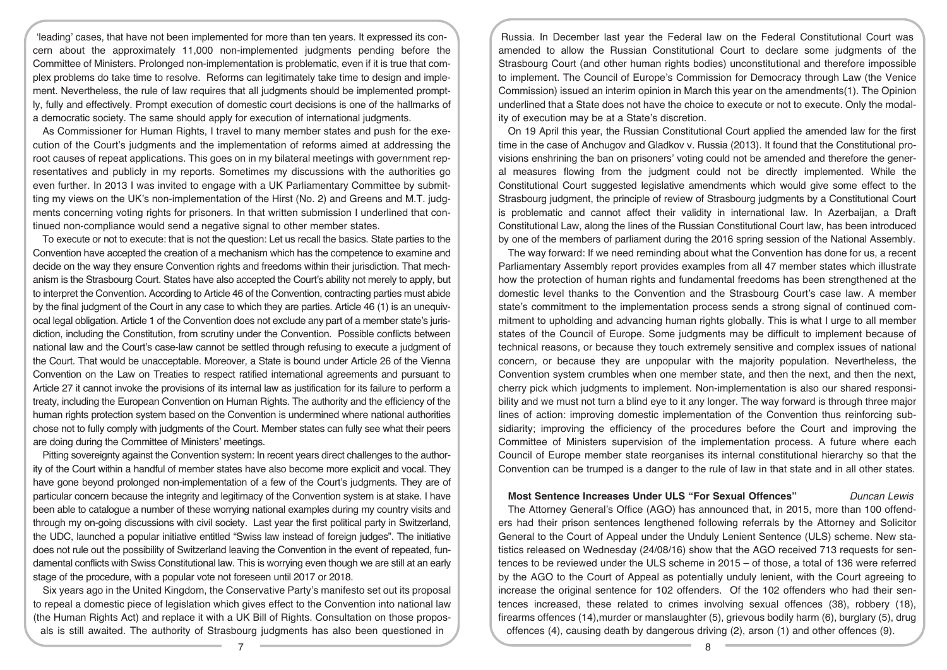'leading' cases, that have not been implemented for more than ten years. It expressed its concern about the approximately 11,000 non-implemented judgments pending before the Committee of Ministers. Prolonged non-implementation is problematic, even if it is true that complex problems do take time to resolve. Reforms can legitimately take time to design and implement. Nevertheless, the rule of law requires that all judgments should be implemented promptly, fully and effectively. Prompt execution of domestic court decisions is one of the hallmarks of a democratic society. The same should apply for execution of international judgments.

As Commissioner for Human Rights, I travel to many member states and push for the execution of the Court's judgments and the implementation of reforms aimed at addressing the root causes of repeat applications. This goes on in my bilateral meetings with government representatives and publicly in my reports. Sometimes my discussions with the authorities go even further. In 2013 I was invited to engage with a UK Parliamentary Committee by submitting my views on the UK's non-implementation of the Hirst (No. 2) and Greens and M.T. judgments concerning voting rights for prisoners. In that written submission I underlined that continued non-compliance would send a negative signal to other member states.

To execute or not to execute: that is not the question: Let us recall the basics. State parties to the Convention have accepted the creation of a mechanism which has the competence to examine and decide on the way they ensure Convention rights and freedoms within their jurisdiction. That mechanism is the Strasbourg Court. States have also accepted the Court's ability not merely to apply, but to interpret the Convention. According to Article 46 of the Convention, contracting parties must abide by the final judgment of the Court in any case to which they are parties. Article 46 (1) is an unequivocal legal obligation. Article 1 of the Convention does not exclude any part of a member state's jurisdiction, including the Constitution, from scrutiny under the Convention. Possible conflicts between national law and the Court's case-law cannot be settled through refusing to execute a judgment of the Court. That would be unacceptable. Moreover, a State is bound under Article 26 of the Vienna Convention on the Law on Treaties to respect ratified international agreements and pursuant to Article 27 it cannot invoke the provisions of its internal law as justification for its failure to perform a treaty, including the European Convention on Human Rights. The authority and the efficiency of the human rights protection system based on the Convention is undermined where national authorities chose not to fully comply with judgments of the Court. Member states can fully see what their peers are doing during the Committee of Ministers' meetings.

Pitting sovereignty against the Convention system: In recent years direct challenges to the authority of the Court within a handful of member states have also become more explicit and vocal. They have gone beyond prolonged non-implementation of a few of the Court's judgments. They are of particular concern because the integrity and legitimacy of the Convention system is at stake. I have been able to catalogue a number of these worrying national examples during my country visits and through my on-going discussions with civil society. Last year the first political party in Switzerland, the UDC, launched a popular initiative entitled "Swiss law instead of foreign judges". The initiative does not rule out the possibility of Switzerland leaving the Convention in the event of repeated, fundamental conflicts with Swiss Constitutional law. This is worrying even though we are still at an early stage of the procedure, with a popular vote not foreseen until 2017 or 2018.

Six years ago in the United Kingdom, the Conservative Party's manifesto set out its proposal to repeal a domestic piece of legislation which gives effect to the Convention into national law (the Human Rights Act) and replace it with a UK Bill of Rights. Consultation on those proposals is still awaited. The authority of Strasbourg judgments has also been questioned in

Russia. In December last year the Federal law on the Federal Constitutional Court was amended to allow the Russian Constitutional Court to declare some judgments of the Strasbourg Court (and other human rights bodies) unconstitutional and therefore impossible to implement. The Council of Europe's Commission for Democracy through Law (the Venice Commission) issued an interim opinion in March this year on the amendments(1). The Opinion underlined that a State does not have the choice to execute or not to execute. Only the modality of execution may be at a State's discretion.

On 19 April this year, the Russian Constitutional Court applied the amended law for the first time in the case of Anchugov and Gladkov v. Russia (2013). It found that the Constitutional provisions enshrining the ban on prisoners' voting could not be amended and therefore the general measures flowing from the judgment could not be directly implemented. While the Constitutional Court suggested legislative amendments which would give some effect to the Strasbourg judgment, the principle of review of Strasbourg judgments by a Constitutional Court is problematic and cannot affect their validity in international law. In Azerbaijan, a Draft Constitutional Law, along the lines of the Russian Constitutional Court law, has been introduced by one of the members of parliament during the 2016 spring session of the National Assembly.

The way forward: If we need reminding about what the Convention has done for us, a recent Parliamentary Assembly report provides examples from all 47 member states which illustrate how the protection of human rights and fundamental freedoms has been strengthened at the domestic level thanks to the Convention and the Strasbourg Court's case law. A member state's commitment to the implementation process sends a strong signal of continued commitment to upholding and advancing human rights globally. This is what I urge to all member states of the Council of Europe. Some judgments may be difficult to implement because of technical reasons, or because they touch extremely sensitive and complex issues of national concern, or because they are unpopular with the majority population. Nevertheless, the Convention system crumbles when one member state, and then the next, and then the next, cherry pick which judgments to implement. Non-implementation is also our shared responsibility and we must not turn a blind eye to it any longer. The way forward is through three major lines of action: improving domestic implementation of the Convention thus reinforcing subsidiarity; improving the efficiency of the procedures before the Court and improving the Committee of Ministers supervision of the implementation process. A future where each Council of Europe member state reorganises its internal constitutional hierarchy so that the Convention can be trumped is a danger to the rule of law in that state and in all other states.

#### **Most Sentence Increases Under ULS "For Sexual Offences"** *Duncan Lewis*

The Attorney General's Office (AGO) has announced that, in 2015, more than 100 offenders had their prison sentences lengthened following referrals by the Attorney and Solicitor General to the Court of Appeal under the Unduly Lenient Sentence (ULS) scheme. New statistics released on Wednesday (24/08/16) show that the AGO received 713 requests for sentences to be reviewed under the ULS scheme in 2015 – of those, a total of 136 were referred by the AGO to the Court of Appeal as potentially unduly lenient, with the Court agreeing to increase the original sentence for 102 offenders. Of the 102 offenders who had their sentences increased, these related to crimes involving sexual offences (38), robbery (18), firearms offences (14),murder or manslaughter (5), grievous bodily harm (6), burglary (5), drug offences (4), causing death by dangerous driving (2), arson (1) and other offences (9).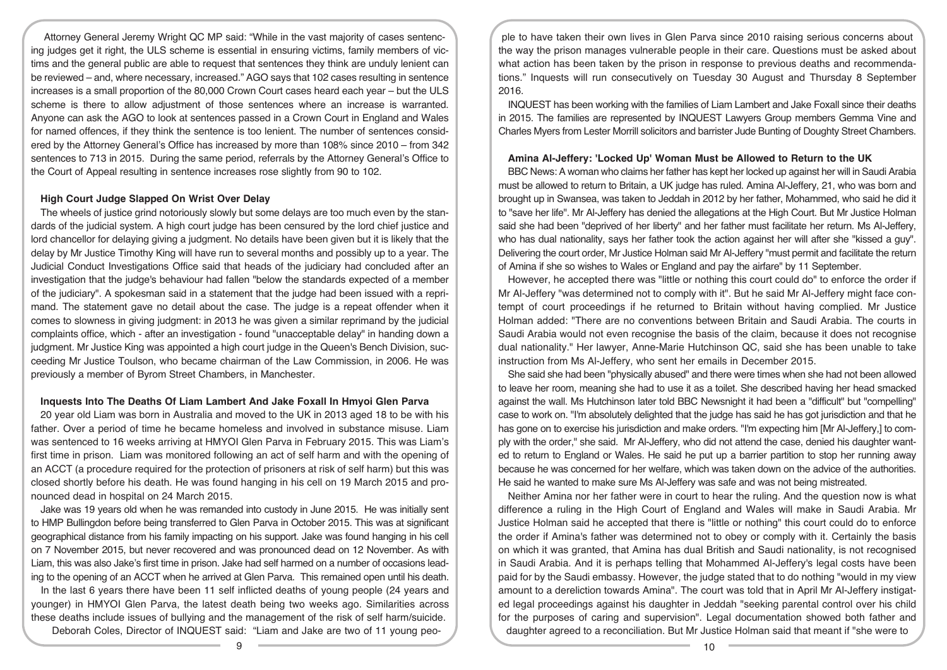Attorney General Jeremy Wright QC MP said: "While in the vast majority of cases sentencing judges get it right, the ULS scheme is essential in ensuring victims, family members of victims and the general public are able to request that sentences they think are unduly lenient can be reviewed – and, where necessary, increased." AGO says that 102 cases resulting in sentence increases is a small proportion of the 80,000 Crown Court cases heard each year – but the ULS scheme is there to allow adjustment of those sentences where an increase is warranted. Anyone can ask the AGO to look at sentences passed in a Crown Court in England and Wales for named offences, if they think the sentence is too lenient. The number of sentences considered by the Attorney General's Office has increased by more than 108% since 2010 – from 342 sentences to 713 in 2015. During the same period, referrals by the Attorney General's Office to the Court of Appeal resulting in sentence increases rose slightly from 90 to 102.

## **High Court Judge Slapped On Wrist Over Delay**

The wheels of justice grind notoriously slowly but some delays are too much even by the standards of the judicial system. A high court judge has been censured by the lord chief justice and lord chancellor for delaying giving a judgment. No details have been given but it is likely that the delay by Mr Justice Timothy King will have run to several months and possibly up to a year. The Judicial Conduct Investigations Office said that heads of the judiciary had concluded after an investigation that the judge's behaviour had fallen "below the standards expected of a member of the judiciary". A spokesman said in a statement that the judge had been issued with a reprimand. The statement gave no detail about the case. The judge is a repeat offender when it comes to slowness in giving judgment: in 2013 he was given a similar reprimand by the judicial complaints office, which - after an investigation - found "unacceptable delay" in handing down a judgment. Mr Justice King was appointed a high court judge in the Queen's Bench Division, succeeding Mr Justice Toulson, who became chairman of the Law Commission, in 2006. He was previously a member of Byrom Street Chambers, in Manchester.

## **Inquests Into The Deaths Of Liam Lambert And Jake Foxall In Hmyoi Glen Parva**

20 year old Liam was born in Australia and moved to the UK in 2013 aged 18 to be with his father. Over a period of time he became homeless and involved in substance misuse. Liam was sentenced to 16 weeks arriving at HMYOI Glen Parva in February 2015. This was Liam's first time in prison. Liam was monitored following an act of self harm and with the opening of an ACCT (a procedure required for the protection of prisoners at risk of self harm) but this was closed shortly before his death. He was found hanging in his cell on 19 March 2015 and pronounced dead in hospital on 24 March 2015.

Jake was 19 years old when he was remanded into custody in June 2015. He was initially sent to HMP Bullingdon before being transferred to Glen Parva in October 2015. This was at significant geographical distance from his family impacting on his support. Jake was found hanging in his cell on 7 November 2015, but never recovered and was pronounced dead on 12 November. As with Liam, this was also Jake's first time in prison. Jake had self harmed on a number of occasions leading to the opening of an ACCT when he arrived at Glen Parva. This remained open until his death.

In the last 6 years there have been 11 self inflicted deaths of young people (24 years and younger) in HMYOI Glen Parva, the latest death being two weeks ago. Similarities across these deaths include issues of bullying and the management of the risk of self harm/suicide.

Deborah Coles, Director of INQUEST said: "Liam and Jake are two of 11 young peo-

ple to have taken their own lives in Glen Parva since 2010 raising serious concerns about the way the prison manages vulnerable people in their care. Questions must be asked about what action has been taken by the prison in response to previous deaths and recommendations." Inquests will run consecutively on Tuesday 30 August and Thursday 8 September 2016.

INQUEST has been working with the families of Liam Lambert and Jake Foxall since their deaths in 2015. The families are represented by INQUEST Lawyers Group members Gemma Vine and Charles Myers from Lester Morrill solicitors and barrister Jude Bunting of Doughty Street Chambers.

## **Amina Al-Jeffery: 'Locked Up' Woman Must be Allowed to Return to the UK**

BBC News: A woman who claims her father has kept her locked up against her will in Saudi Arabia must be allowed to return to Britain, a UK judge has ruled. Amina Al-Jeffery, 21, who was born and brought up in Swansea, was taken to Jeddah in 2012 by her father, Mohammed, who said he did it to "save her life". Mr Al-Jeffery has denied the allegations at the High Court. But Mr Justice Holman said she had been "deprived of her liberty" and her father must facilitate her return. Ms Al-Jeffery, who has dual nationality, says her father took the action against her will after she "kissed a guy". Delivering the court order, Mr Justice Holman said Mr Al-Jeffery "must permit and facilitate the return of Amina if she so wishes to Wales or England and pay the airfare" by 11 September.

However, he accepted there was "little or nothing this court could do" to enforce the order if Mr Al-Jeffery "was determined not to comply with it". But he said Mr Al-Jeffery might face contempt of court proceedings if he returned to Britain without having complied. Mr Justice Holman added: "There are no conventions between Britain and Saudi Arabia. The courts in Saudi Arabia would not even recognise the basis of the claim, because it does not recognise dual nationality." Her lawyer, Anne-Marie Hutchinson QC, said she has been unable to take instruction from Ms Al-Jeffery, who sent her emails in December 2015.

She said she had been "physically abused" and there were times when she had not been allowed to leave her room, meaning she had to use it as a toilet. She described having her head smacked against the wall. Ms Hutchinson later told BBC Newsnight it had been a "difficult" but "compelling" case to work on. "I'm absolutely delighted that the judge has said he has got jurisdiction and that he has gone on to exercise his jurisdiction and make orders. "I'm expecting him [Mr Al-Jeffery,] to comply with the order," she said. Mr Al-Jeffery, who did not attend the case, denied his daughter wanted to return to England or Wales. He said he put up a barrier partition to stop her running away because he was concerned for her welfare, which was taken down on the advice of the authorities. He said he wanted to make sure Ms Al-Jeffery was safe and was not being mistreated.

Neither Amina nor her father were in court to hear the ruling. And the question now is what difference a ruling in the High Court of England and Wales will make in Saudi Arabia. Mr Justice Holman said he accepted that there is "little or nothing" this court could do to enforce the order if Amina's father was determined not to obey or comply with it. Certainly the basis on which it was granted, that Amina has dual British and Saudi nationality, is not recognised in Saudi Arabia. And it is perhaps telling that Mohammed Al-Jeffery's legal costs have been paid for by the Saudi embassy. However, the judge stated that to do nothing "would in my view amount to a dereliction towards Amina". The court was told that in April Mr Al-Jeffery instigated legal proceedings against his daughter in Jeddah "seeking parental control over his child for the purposes of caring and supervision". Legal documentation showed both father and daughter agreed to a reconciliation. But Mr Justice Holman said that meant if "she were to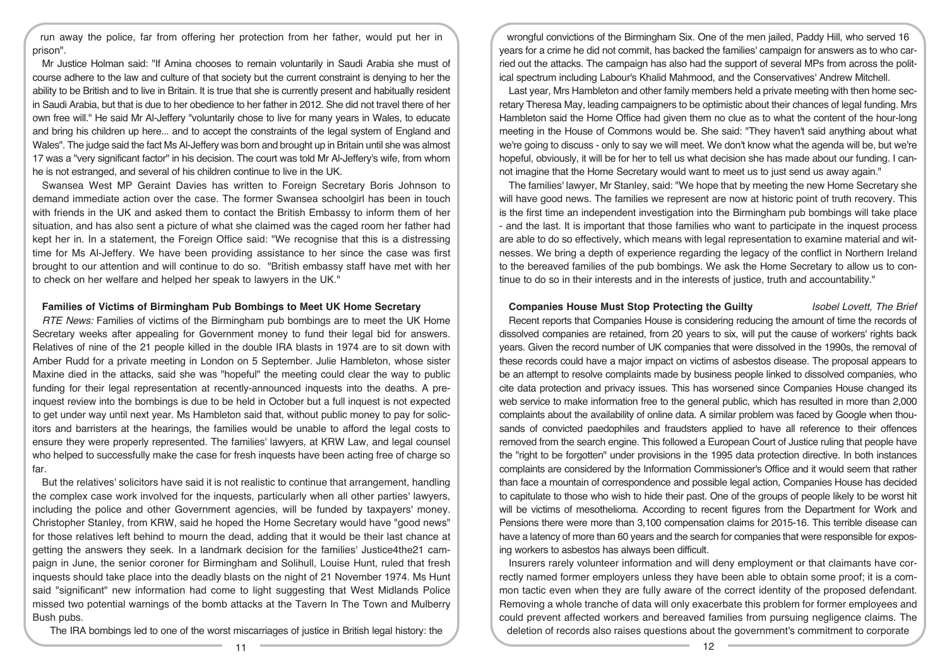run away the police, far from offering her protection from her father, would put her in prison".

Mr Justice Holman said: "If Amina chooses to remain voluntarily in Saudi Arabia she must of course adhere to the law and culture of that society but the current constraint is denying to her the ability to be British and to live in Britain. It is true that she is currently present and habitually resident in Saudi Arabia, but that is due to her obedience to her father in 2012. She did not travel there of her own free will." He said Mr Al-Jeffery "voluntarily chose to live for many years in Wales, to educate and bring his children up here... and to accept the constraints of the legal system of England and Wales". The judge said the fact Ms Al-Jeffery was born and brought up in Britain until she was almost 17 was a "very significant factor" in his decision. The court was told Mr Al-Jeffery's wife, from whom he is not estranged, and several of his children continue to live in the UK.

Swansea West MP Geraint Davies has written to Foreign Secretary Boris Johnson to demand immediate action over the case. The former Swansea schoolgirl has been in touch with friends in the UK and asked them to contact the British Embassy to inform them of her situation, and has also sent a picture of what she claimed was the caged room her father had kept her in. In a statement, the Foreign Office said: "We recognise that this is a distressing time for Ms Al-Jeffery. We have been providing assistance to her since the case was first brought to our attention and will continue to do so. "British embassy staff have met with her to check on her welfare and helped her speak to lawyers in the UK."

#### **Families of Victims of Birmingham Pub Bombings to Meet UK Home Secretary**

*RTE News:* Families of victims of the Birmingham pub bombings are to meet the UK Home Secretary weeks after appealing for Government money to fund their legal bid for answers. Relatives of nine of the 21 people killed in the double IRA blasts in 1974 are to sit down with Amber Rudd for a private meeting in London on 5 September. Julie Hambleton, whose sister Maxine died in the attacks, said she was "hopeful" the meeting could clear the way to public funding for their legal representation at recently-announced inquests into the deaths. A preinquest review into the bombings is due to be held in October but a full inquest is not expected to get under way until next year. Ms Hambleton said that, without public money to pay for solicitors and barristers at the hearings, the families would be unable to afford the legal costs to ensure they were properly represented. The families' lawyers, at KRW Law, and legal counsel who helped to successfully make the case for fresh inquests have been acting free of charge so far.

But the relatives' solicitors have said it is not realistic to continue that arrangement, handling the complex case work involved for the inquests, particularly when all other parties' lawyers, including the police and other Government agencies, will be funded by taxpayers' money. Christopher Stanley, from KRW, said he hoped the Home Secretary would have "good news" for those relatives left behind to mourn the dead, adding that it would be their last chance at getting the answers they seek. In a landmark decision for the families' Justice4the21 campaign in June, the senior coroner for Birmingham and Solihull, Louise Hunt, ruled that fresh inquests should take place into the deadly blasts on the night of 21 November 1974. Ms Hunt said "significant" new information had come to light suggesting that West Midlands Police missed two potential warnings of the bomb attacks at the Tavern In The Town and Mulberry Bush pubs.

The IRA bombings led to one of the worst miscarriages of justice in British legal history: the

wrongful convictions of the Birmingham Six. One of the men jailed, Paddy Hill, who served 16 years for a crime he did not commit, has backed the families' campaign for answers as to who carried out the attacks. The campaign has also had the support of several MPs from across the political spectrum including Labour's Khalid Mahmood, and the Conservatives' Andrew Mitchell.

Last year, Mrs Hambleton and other family members held a private meeting with then home secretary Theresa May, leading campaigners to be optimistic about their chances of legal funding. Mrs Hambleton said the Home Office had given them no clue as to what the content of the hour-long meeting in the House of Commons would be. She said: "They haven't said anything about what we're going to discuss - only to say we will meet. We don't know what the agenda will be, but we're hopeful, obviously, it will be for her to tell us what decision she has made about our funding. I cannot imagine that the Home Secretary would want to meet us to just send us away again."

The families' lawyer, Mr Stanley, said: "We hope that by meeting the new Home Secretary she will have good news. The families we represent are now at historic point of truth recovery. This is the first time an independent investigation into the Birmingham pub bombings will take place - and the last. It is important that those families who want to participate in the inquest process are able to do so effectively, which means with legal representation to examine material and witnesses. We bring a depth of experience regarding the legacy of the conflict in Northern Ireland to the bereaved families of the pub bombings. We ask the Home Secretary to allow us to continue to do so in their interests and in the interests of justice, truth and accountability."

**Companies House Must Stop Protecting the Guilty** *Isobel Lovett, The Brief*

Recent reports that Companies House is considering reducing the amount of time the records of dissolved companies are retained, from 20 years to six, will put the cause of workers' rights back years. Given the record number of UK companies that were dissolved in the 1990s, the removal of these records could have a major impact on victims of asbestos disease. The proposal appears to be an attempt to resolve complaints made by business people linked to dissolved companies, who cite data protection and privacy issues. This has worsened since Companies House changed its web service to make information free to the general public, which has resulted in more than 2,000 complaints about the availability of online data. A similar problem was faced by Google when thousands of convicted paedophiles and fraudsters applied to have all reference to their offences removed from the search engine. This followed a European Court of Justice ruling that people have the "right to be forgotten" under provisions in the 1995 data protection directive. In both instances complaints are considered by the Information Commissioner's Office and it would seem that rather than face a mountain of correspondence and possible legal action, Companies House has decided to capitulate to those who wish to hide their past. One of the groups of people likely to be worst hit will be victims of mesothelioma. According to recent figures from the Department for Work and Pensions there were more than 3,100 compensation claims for 2015-16. This terrible disease can have a latency of more than 60 years and the search for companies that were responsible for exposing workers to asbestos has always been difficult.

Insurers rarely volunteer information and will deny employment or that claimants have correctly named former employers unless they have been able to obtain some proof; it is a common tactic even when they are fully aware of the correct identity of the proposed defendant. Removing a whole tranche of data will only exacerbate this problem for former employees and could prevent affected workers and bereaved families from pursuing negligence claims. The deletion of records also raises questions about the government's commitment to corporate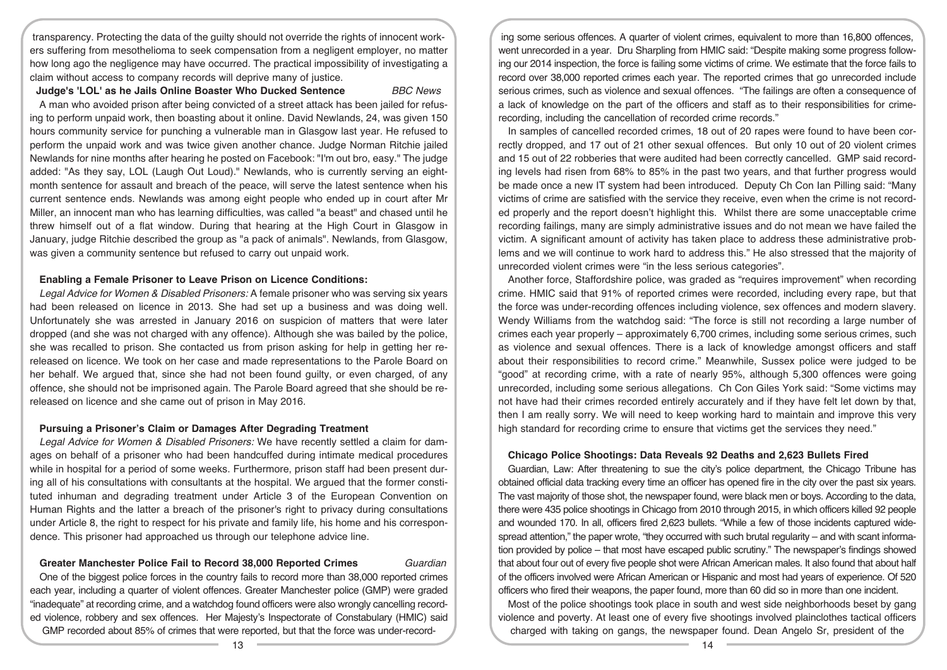transparency. Protecting the data of the guilty should not override the rights of innocent workers suffering from mesothelioma to seek compensation from a negligent employer, no matter how long ago the negligence may have occurred. The practical impossibility of investigating a claim without access to company records will deprive many of justice.

**Judge's 'LOL' as he Jails Online Boaster Who Ducked Sentence** *BBC News* A man who avoided prison after being convicted of a street attack has been jailed for refusing to perform unpaid work, then boasting about it online. David Newlands, 24, was given 150

hours community service for punching a vulnerable man in Glasgow last year. He refused to perform the unpaid work and was twice given another chance. Judge Norman Ritchie jailed Newlands for nine months after hearing he posted on Facebook: "I'm out bro, easy." The judge added: "As they say, LOL (Laugh Out Loud)." Newlands, who is currently serving an eightmonth sentence for assault and breach of the peace, will serve the latest sentence when his current sentence ends. Newlands was among eight people who ended up in court after Mr Miller, an innocent man who has learning difficulties, was called "a beast" and chased until he threw himself out of a flat window. During that hearing at the High Court in Glasgow in January, judge Ritchie described the group as "a pack of animals". Newlands, from Glasgow, was given a community sentence but refused to carry out unpaid work.

## **Enabling a Female Prisoner to Leave Prison on Licence Conditions:**

*Legal Advice for Women & Disabled Prisoners:* A female prisoner who was serving six years had been released on licence in 2013. She had set up a business and was doing well. Unfortunately she was arrested in January 2016 on suspicion of matters that were later dropped (and she was not charged with any offence). Although she was bailed by the police, she was recalled to prison. She contacted us from prison asking for help in getting her rereleased on licence. We took on her case and made representations to the Parole Board on her behalf. We argued that, since she had not been found guilty, or even charged, of any offence, she should not be imprisoned again. The Parole Board agreed that she should be rereleased on licence and she came out of prison in May 2016.

## **Pursuing a Prisoner's Claim or Damages After Degrading Treatment**

*Legal Advice for Women & Disabled Prisoners:* We have recently settled a claim for damages on behalf of a prisoner who had been handcuffed during intimate medical procedures while in hospital for a period of some weeks. Furthermore, prison staff had been present during all of his consultations with consultants at the hospital. We argued that the former constituted inhuman and degrading treatment under Article 3 of the European Convention on Human Rights and the latter a breach of the prisoner's right to privacy during consultations under Article 8, the right to respect for his private and family life, his home and his correspondence. This prisoner had approached us through our telephone advice line.

## **Greater Manchester Police Fail to Record 38,000 Reported Crimes** *Guardian*

One of the biggest police forces in the country fails to record more than 38,000 reported crimes each year, including a quarter of violent offences. Greater Manchester police (GMP) were graded "inadequate" at recording crime, and a watchdog found officers were also wrongly cancelling recorded violence, robbery and sex offences. Her Majesty's Inspectorate of Constabulary (HMIC) said GMP recorded about 85% of crimes that were reported, but that the force was under-record-

ing some serious offences. A quarter of violent crimes, equivalent to more than 16,800 offences, went unrecorded in a year. Dru Sharpling from HMIC said: "Despite making some progress following our 2014 inspection, the force is failing some victims of crime. We estimate that the force fails to record over 38,000 reported crimes each year. The reported crimes that go unrecorded include serious crimes, such as violence and sexual offences. "The failings are often a consequence of a lack of knowledge on the part of the officers and staff as to their responsibilities for crimerecording, including the cancellation of recorded crime records."

In samples of cancelled recorded crimes, 18 out of 20 rapes were found to have been correctly dropped, and 17 out of 21 other sexual offences. But only 10 out of 20 violent crimes and 15 out of 22 robberies that were audited had been correctly cancelled. GMP said recording levels had risen from 68% to 85% in the past two years, and that further progress would be made once a new IT system had been introduced. Deputy Ch Con Ian Pilling said: "Many victims of crime are satisfied with the service they receive, even when the crime is not recorded properly and the report doesn't highlight this. Whilst there are some unacceptable crime recording failings, many are simply administrative issues and do not mean we have failed the victim. A significant amount of activity has taken place to address these administrative problems and we will continue to work hard to address this." He also stressed that the majority of unrecorded violent crimes were "in the less serious categories".

Another force, Staffordshire police, was graded as "requires improvement" when recording crime. HMIC said that 91% of reported crimes were recorded, including every rape, but that the force was under-recording offences including violence, sex offences and modern slavery. Wendy Williams from the watchdog said: "The force is still not recording a large number of crimes each year properly – approximately 6,700 crimes, including some serious crimes, such as violence and sexual offences. There is a lack of knowledge amongst officers and staff about their responsibilities to record crime." Meanwhile, Sussex police were judged to be "good" at recording crime, with a rate of nearly 95%, although 5,300 offences were going unrecorded, including some serious allegations. Ch Con Giles York said: "Some victims may not have had their crimes recorded entirely accurately and if they have felt let down by that, then I am really sorry. We will need to keep working hard to maintain and improve this very high standard for recording crime to ensure that victims get the services they need."

## **Chicago Police Shootings: Data Reveals 92 Deaths and 2,623 Bullets Fired**

Guardian, Law: After threatening to sue the city's police department, the Chicago Tribune has obtained official data tracking every time an officer has opened fire in the city over the past six years. The vast majority of those shot, the newspaper found, were black men or boys. According to the data, there were 435 police shootings in Chicago from 2010 through 2015, in which officers killed 92 people and wounded 170. In all, officers fired 2,623 bullets. "While a few of those incidents captured widespread attention," the paper wrote, "they occurred with such brutal regularity – and with scant information provided by police – that most have escaped public scrutiny." The newspaper's findings showed that about four out of every five people shot were African American males. It also found that about half of the officers involved were African American or Hispanic and most had years of experience. Of 520 officers who fired their weapons, the paper found, more than 60 did so in more than one incident.

Most of the police shootings took place in south and west side neighborhoods beset by gang violence and poverty. At least one of every five shootings involved plainclothes tactical officers charged with taking on gangs, the newspaper found. Dean Angelo Sr, president of the